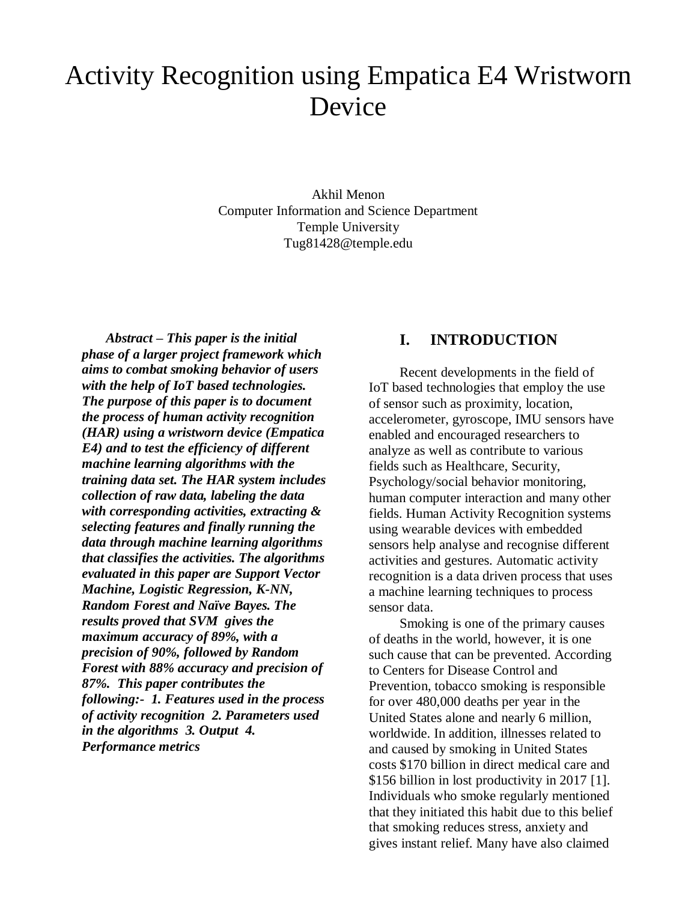# Activity Recognition using Empatica E4 Wristworn Device

Akhil Menon Computer Information and Science Department Temple University Tug81428@temple.edu

 *Abstract – This paper is the initial phase of a larger project framework which aims to combat smoking behavior of users with the help of IoT based technologies. The purpose of this paper is to document the process of human activity recognition (HAR) using a wristworn device (Empatica E4) and to test the efficiency of different machine learning algorithms with the training data set. The HAR system includes collection of raw data, labeling the data with corresponding activities, extracting & selecting features and finally running the data through machine learning algorithms that classifies the activities. The algorithms evaluated in this paper are Support Vector Machine, Logistic Regression, K-NN, Random Forest and Naïve Bayes. The results proved that SVM gives the maximum accuracy of 89%, with a precision of 90%, followed by Random Forest with 88% accuracy and precision of 87%. This paper contributes the following:- 1. Features used in the process of activity recognition 2. Parameters used in the algorithms 3. Output 4. Performance metrics*

#### **I. INTRODUCTION**

 Recent developments in the field of IoT based technologies that employ the use of sensor such as proximity, location, accelerometer, gyroscope, IMU sensors have enabled and encouraged researchers to analyze as well as contribute to various fields such as Healthcare, Security, Psychology/social behavior monitoring, human computer interaction and many other fields. Human Activity Recognition systems using wearable devices with embedded sensors help analyse and recognise different activities and gestures. Automatic activity recognition is a data driven process that uses a machine learning techniques to process sensor data.

 Smoking is one of the primary causes of deaths in the world, however, it is one such cause that can be prevented. According to Centers for Disease Control and Prevention, tobacco smoking is responsible for over 480,000 deaths per year in the United States alone and nearly 6 million, worldwide. In addition, illnesses related to and caused by smoking in United States costs \$170 billion in direct medical care and \$156 billion in lost productivity in 2017 [1]. Individuals who smoke regularly mentioned that they initiated this habit due to this belief that smoking reduces stress, anxiety and gives instant relief. Many have also claimed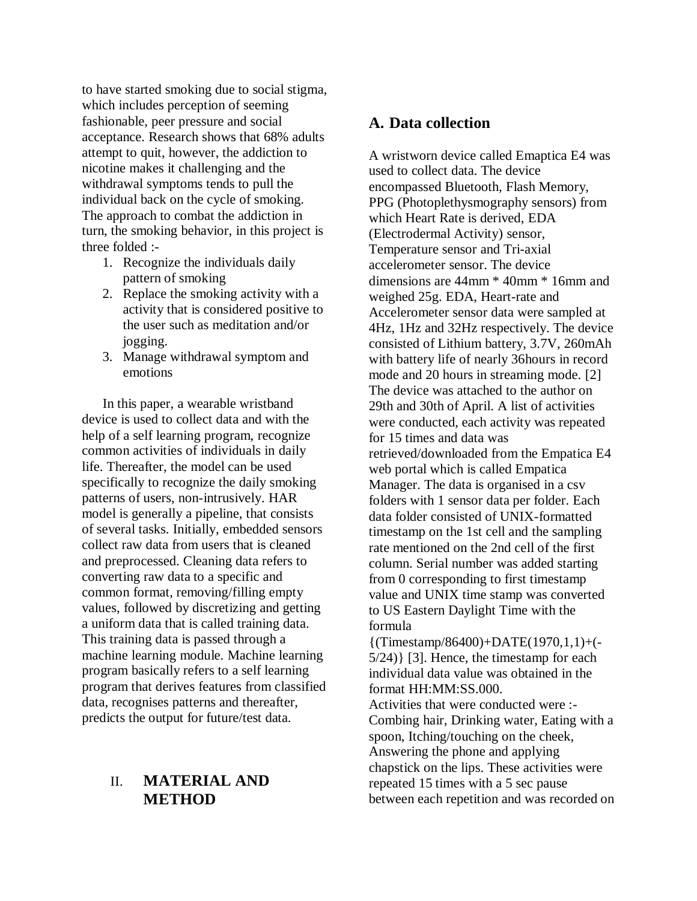to have started smoking due to social stigma, which includes perception of seeming fashionable, peer pressure and social acceptance. Research shows that 68% adults attempt to quit, however, the addiction to nicotine makes it challenging and the withdrawal symptoms tends to pull the individual back on the cycle of smoking. The approach to combat the addiction in turn, the smoking behavior, in this project is three folded :-

- 1. Recognize the individuals daily pattern of smoking
- 2. Replace the smoking activity with a activity that is considered positive to the user such as meditation and/or jogging.
- 3. Manage withdrawal symptom and emotions

 In this paper, a wearable wristband device is used to collect data and with the help of a self learning program, recognize common activities of individuals in daily life. Thereafter, the model can be used specifically to recognize the daily smoking patterns of users, non-intrusively. HAR model is generally a pipeline, that consists of several tasks. Initially, embedded sensors collect raw data from users that is cleaned and preprocessed. Cleaning data refers to converting raw data to a specific and common format, removing/filling empty values, followed by discretizing and getting a uniform data that is called training data. This training data is passed through a machine learning module. Machine learning program basically refers to a self learning program that derives features from classified data, recognises patterns and thereafter, predicts the output for future/test data.

# II. **MATERIAL AND METHOD**

# **A. Data collection**

A wristworn device called Emaptica E4 was used to collect data. The device encompassed Bluetooth, Flash Memory, PPG (Photoplethysmography sensors) from which Heart Rate is derived, EDA (Electrodermal Activity) sensor, Temperature sensor and Tri-axial accelerometer sensor. The device dimensions are 44mm \* 40mm \* 16mm and weighed 25g. EDA, Heart-rate and Accelerometer sensor data were sampled at 4Hz, 1Hz and 32Hz respectively. The device consisted of Lithium battery, 3.7V, 260mAh with battery life of nearly 36hours in record mode and 20 hours in streaming mode. [2] The device was attached to the author on 29th and 30th of April. A list of activities were conducted, each activity was repeated for 15 times and data was retrieved/downloaded from the Empatica E4 web portal which is called Empatica Manager. The data is organised in a csv folders with 1 sensor data per folder. Each data folder consisted of UNIX-formatted timestamp on the 1st cell and the sampling rate mentioned on the 2nd cell of the first column. Serial number was added starting from 0 corresponding to first timestamp value and UNIX time stamp was converted to US Eastern Daylight Time with the formula

 ${(Time stamp/86400)+DATATE(1970,1,1)+(-$ 5/24)} [3]. Hence, the timestamp for each individual data value was obtained in the format HH:MM:SS.000.

Activities that were conducted were :- Combing hair, Drinking water, Eating with a spoon, Itching/touching on the cheek, Answering the phone and applying chapstick on the lips. These activities were repeated 15 times with a 5 sec pause between each repetition and was recorded on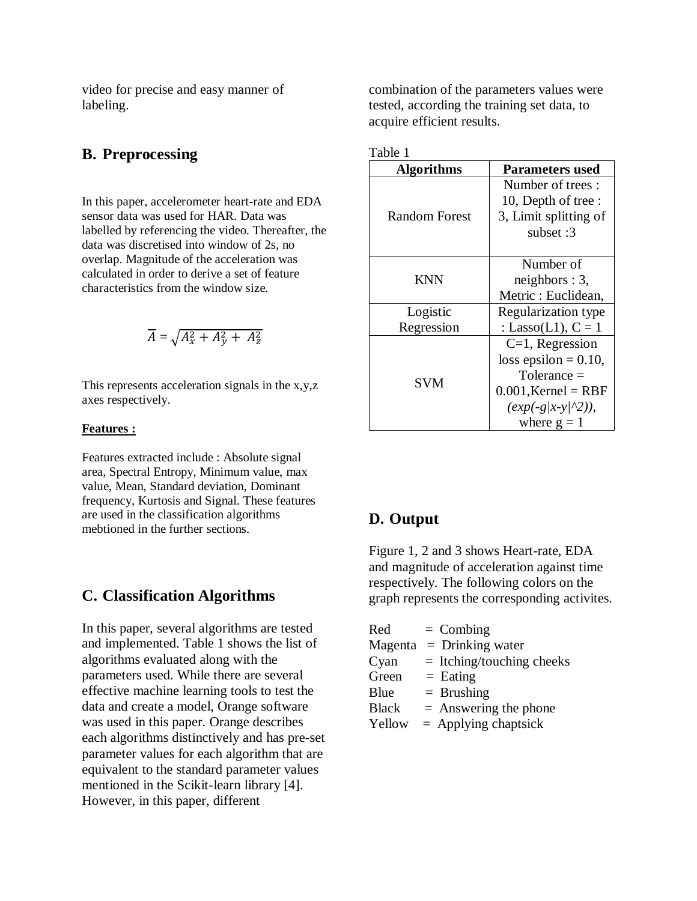video for precise and easy manner of labeling.

## **B. Preprocessing**

In this paper, accelerometer heart-rate and EDA sensor data was used for HAR. Data was labelled by referencing the video. Thereafter, the data was discretised into window of 2s, no overlap. Magnitude of the acceleration was calculated in order to derive a set of feature characteristics from the window size.

$$
\overline{A} = \sqrt{A_x^2 + A_y^2 + A_z^2}
$$

This represents acceleration signals in the x,y,z axes respectively.

#### **Features :**

Features extracted include : Absolute signal area, Spectral Entropy, Minimum value, max value, Mean, Standard deviation, Dominant frequency, Kurtosis and Signal. These features are used in the classification algorithms mebtioned in the further sections.

#### **C. Classification Algorithms**

In this paper, several algorithms are tested and implemented. Table 1 shows the list of algorithms evaluated along with the parameters used. While there are several effective machine learning tools to test the data and create a model, Orange software was used in this paper. Orange describes each algorithms distinctively and has pre-set parameter values for each algorithm that are equivalent to the standard parameter values mentioned in the Scikit-learn library [4]. However, in this paper, different

combination of the parameters values were tested, according the training set data, to acquire efficient results.

| . . |  |
|-----|--|
|     |  |

| <b>Algorithms</b> | <b>Parameters used</b>    |  |  |  |
|-------------------|---------------------------|--|--|--|
|                   | Number of trees:          |  |  |  |
|                   | 10, Depth of tree:        |  |  |  |
| Random Forest     | 3, Limit splitting of     |  |  |  |
|                   | subset: 3                 |  |  |  |
|                   |                           |  |  |  |
| <b>KNN</b>        | Number of                 |  |  |  |
|                   | neighbors: 3,             |  |  |  |
|                   | Metric: Euclidean,        |  |  |  |
| Logistic          | Regularization type       |  |  |  |
| Regression        | : Lasso(L1), $C = 1$      |  |  |  |
| SVM               | $C=1$ , Regression        |  |  |  |
|                   | loss epsilon = $0.10$ ,   |  |  |  |
|                   | $Tolerance =$             |  |  |  |
|                   | $0.001$ , Kernel = RBF    |  |  |  |
|                   | $(exp(-g/x-y/\sqrt{2})),$ |  |  |  |
|                   | where $g = 1$             |  |  |  |

# **D. Output**

Figure 1, 2 and 3 shows Heart-rate, EDA and magnitude of acceleration against time respectively. The following colors on the graph represents the corresponding activites.

| Red          | $=$ Combing                 |
|--------------|-----------------------------|
| Magenta      | $=$ Drinking water          |
| Cyan         | $=$ Itching/touching cheeks |
| Green        | $=$ Eating                  |
| Blue         | $=$ Brushing                |
| <b>Black</b> | $=$ Answering the phone     |
| Yellow       | $=$ Applying chaptsick      |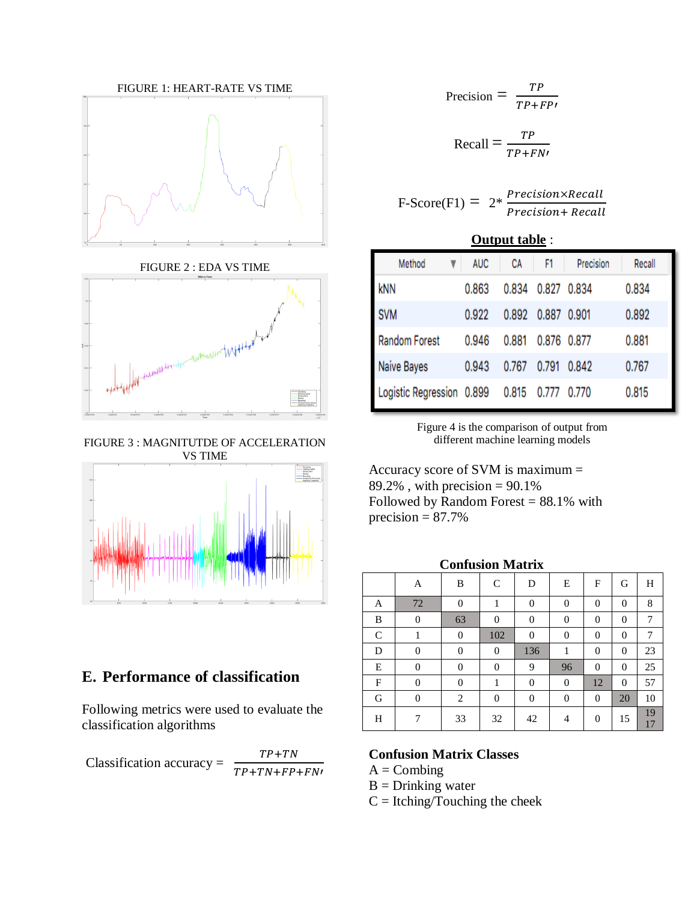

FIGURE 2 : EDA VS TIME



FIGURE 3 : MAGNITUTDE OF ACCELERATION VS TIME



# **E. Performance of classification**

Following metrics were used to evaluate the classification algorithms

Classification accuracy =  $TP+TN$  $\frac{TP+TN+FP+FN}{TP+TN+FP+FN!}$ 

$$
Precision = \frac{TP}{TP + FP}
$$

$$
Recall = \frac{TP}{TP + FN}
$$

 $F-Score(F1) = 2*$ Precision×Recall Precision+ Recall

#### **Output table** :

| Method                    | <b>AUC</b> | CA    | F1    | Precision | Recall |
|---------------------------|------------|-------|-------|-----------|--------|
| kNN                       | 0.863      | 0.834 | 0.827 | 0.834     | 0.834  |
| <b>SVM</b>                | 0.922      | 0.892 | 0.887 | 0.901     | 0.892  |
| Random Forest             | 0.946      | 0.881 | 0.876 | 0.877     | 0.881  |
| Naive Bayes               | 0.943      | 0.767 | 0.791 | 0.842     | 0.767  |
| Logistic Regression 0.899 |            | 0.815 | 0.777 | 0.770     | 0.815  |

Figure 4 is the comparison of output from different machine learning models

Accuracy score of SVM is maximum = 89.2%, with precision =  $90.1\%$ Followed by Random Forest  $= 88.1\%$  with precision  $= 87.7\%$ 

| <b>Confusion Matrix</b> |                |                  |                |          |          |                |                |          |
|-------------------------|----------------|------------------|----------------|----------|----------|----------------|----------------|----------|
|                         | A              | B                | $\mathsf{C}$   | D        | E        | F              | G              | H        |
| A                       | 72             | $\theta$         | 1              | $\theta$ | $\Omega$ | $\overline{0}$ | $\theta$       | 8        |
| B                       | $\overline{0}$ | 63               | $\Omega$       | $\theta$ | $\theta$ | $\theta$       | $\theta$       | 7        |
| $\mathsf{C}$            |                | $\boldsymbol{0}$ | 102            | $\theta$ | $\theta$ | $\overline{0}$ | $\theta$       | 7        |
| D                       | $\overline{0}$ | $\overline{0}$   | $\theta$       | 136      | 1        | $\theta$       | $\overline{0}$ | 23       |
| E                       | 0              | $\theta$         | $\theta$       | 9        | 96       | $\theta$       | $\theta$       | 25       |
| F                       | 0              | $\theta$         | 1              | $\theta$ | $\theta$ | 12             | $\theta$       | 57       |
| G                       | $\overline{0}$ | $\overline{c}$   | $\overline{0}$ | $\theta$ | $\theta$ | $\theta$       | 20             | 10       |
| H                       | 7              | 33               | 32             | 42       | 4        | $\theta$       | 15             | 19<br>17 |

#### **Confusion Matrix Classes**

 $A = Combing$ 

 $B = Drinking water$ 

 $C = Itching/Touching the check$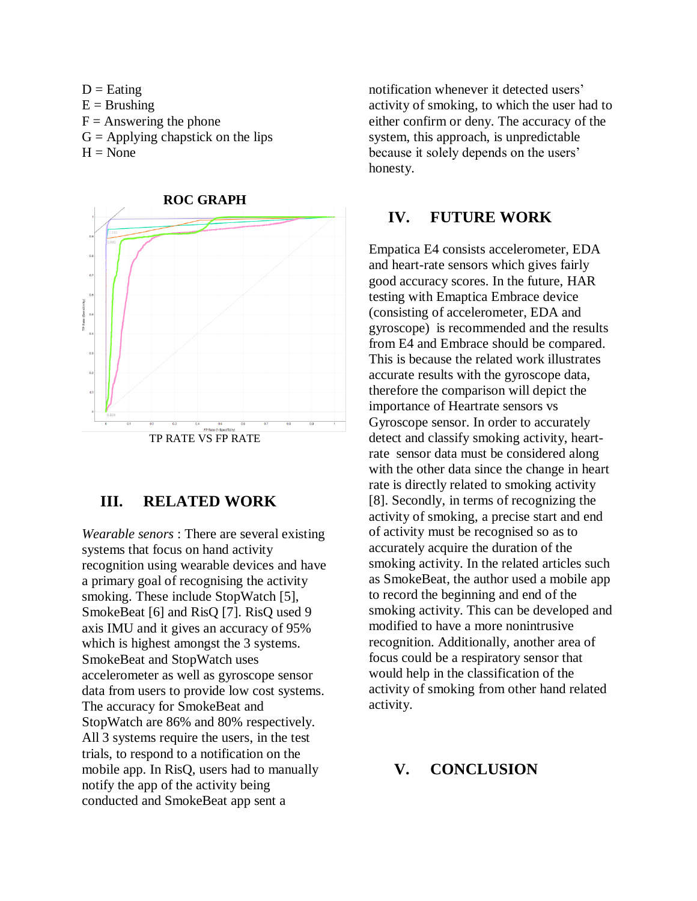



# **III. RELATED WORK**

*Wearable senors* : There are several existing systems that focus on hand activity recognition using wearable devices and have a primary goal of recognising the activity smoking. These include StopWatch [5], SmokeBeat [6] and RisQ [7]. RisQ used 9 axis IMU and it gives an accuracy of 95% which is highest amongst the 3 systems. SmokeBeat and StopWatch uses accelerometer as well as gyroscope sensor data from users to provide low cost systems. The accuracy for SmokeBeat and StopWatch are 86% and 80% respectively. All 3 systems require the users, in the test trials, to respond to a notification on the mobile app. In RisQ, users had to manually notify the app of the activity being conducted and SmokeBeat app sent a

notification whenever it detected users' activity of smoking, to which the user had to either confirm or deny. The accuracy of the system, this approach, is unpredictable because it solely depends on the users' honesty.

#### **IV. FUTURE WORK**

Empatica E4 consists accelerometer, EDA and heart-rate sensors which gives fairly good accuracy scores. In the future, HAR testing with Emaptica Embrace device (consisting of accelerometer, EDA and gyroscope) is recommended and the results from E4 and Embrace should be compared. This is because the related work illustrates accurate results with the gyroscope data, therefore the comparison will depict the importance of Heartrate sensors vs Gyroscope sensor. In order to accurately detect and classify smoking activity, heartrate sensor data must be considered along with the other data since the change in heart rate is directly related to smoking activity [8]. Secondly, in terms of recognizing the activity of smoking, a precise start and end of activity must be recognised so as to accurately acquire the duration of the smoking activity. In the related articles such as SmokeBeat, the author used a mobile app to record the beginning and end of the smoking activity. This can be developed and modified to have a more nonintrusive recognition. Additionally, another area of focus could be a respiratory sensor that would help in the classification of the activity of smoking from other hand related activity.

## **V. CONCLUSION**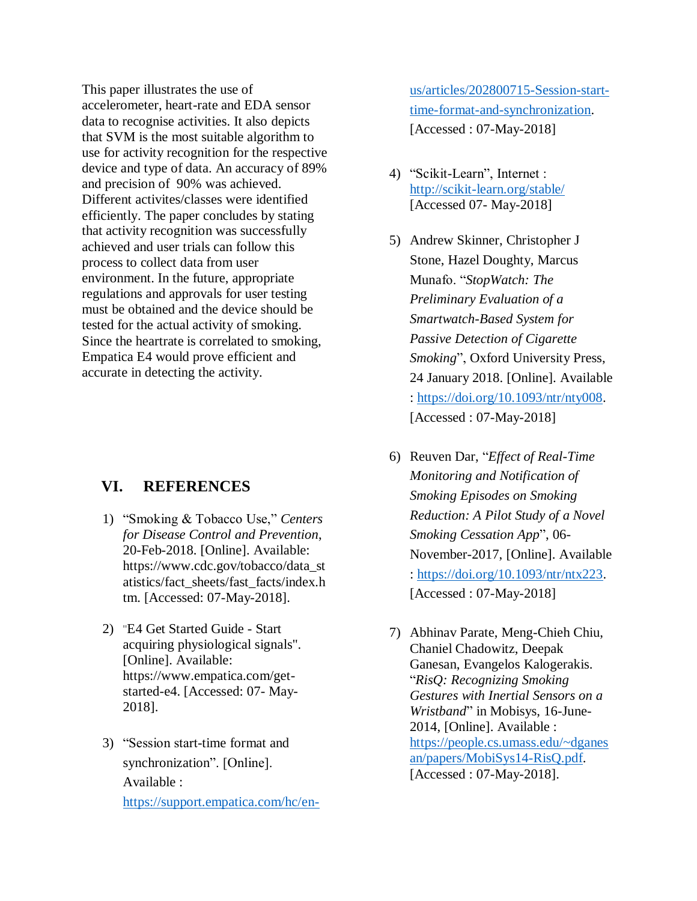This paper illustrates the use of accelerometer, heart-rate and EDA sensor data to recognise activities. It also depicts that SVM is the most suitable algorithm to use for activity recognition for the respective device and type of data. An accuracy of 89% and precision of 90% was achieved. Different activites/classes were identified efficiently. The paper concludes by stating that activity recognition was successfully achieved and user trials can follow this process to collect data from user environment. In the future, appropriate regulations and approvals for user testing must be obtained and the device should be tested for the actual activity of smoking. Since the heartrate is correlated to smoking, Empatica E4 would prove efficient and accurate in detecting the activity.

# **VI. REFERENCES**

- 1) "Smoking & Tobacco Use," *Centers for Disease Control and Prevention*, 20-Feb-2018. [Online]. Available: https://www.cdc.gov/tobacco/data\_st atistics/fact\_sheets/fast\_facts/index.h tm. [Accessed: 07-May-2018].
- 2) "E4 Get Started Guide Start acquiring physiological signals". [Online]. Available: https://www.empatica.com/getstarted-e4. [Accessed: 07- May-2018].
- 3) "Session start-time format and synchronization". [Online]. Available : [https://support.empatica.com/hc/en-](https://support.empatica.com/hc/en-us/articles/202800715-Session-start-time-format-and-synchronization)

[us/articles/202800715-Session-start](https://support.empatica.com/hc/en-us/articles/202800715-Session-start-time-format-and-synchronization)[time-format-and-synchronization.](https://support.empatica.com/hc/en-us/articles/202800715-Session-start-time-format-and-synchronization) [Accessed : 07-May-2018]

- 4) "Scikit-Learn", Internet : <http://scikit-learn.org/stable/> [Accessed 07- May-2018]
- 5) Andrew Skinner, Christopher J Stone, Hazel Doughty, Marcus Munafo. "*StopWatch: The Preliminary Evaluation of a Smartwatch-Based System for Passive Detection of Cigarette Smoking*", Oxford University Press, 24 January 2018. [Online]. Available : [https://doi.org/10.1093/ntr/nty008.](https://doi.org/10.1093/ntr/nty008) [Accessed : 07-May-2018]
- 6) Reuven Dar, "*Effect of Real-Time Monitoring and Notification of Smoking Episodes on Smoking Reduction: A Pilot Study of a Novel Smoking Cessation App*", 06- November-2017, [Online]. Available : [https://doi.org/10.1093/ntr/ntx223.](https://doi.org/10.1093/ntr/ntx223) [Accessed : 07-May-2018]
- 7) Abhinav Parate, Meng-Chieh Chiu, Chaniel Chadowitz, Deepak Ganesan, Evangelos Kalogerakis. "*RisQ: Recognizing Smoking Gestures with Inertial Sensors on a Wristband*" in Mobisys, 16-June-2014, [Online]. Available : [https://people.cs.umass.edu/~dganes](https://people.cs.umass.edu/~dganesan/papers/MobiSys14-RisQ.pdf) [an/papers/MobiSys14-RisQ.pdf.](https://people.cs.umass.edu/~dganesan/papers/MobiSys14-RisQ.pdf) [Accessed : 07-May-2018].